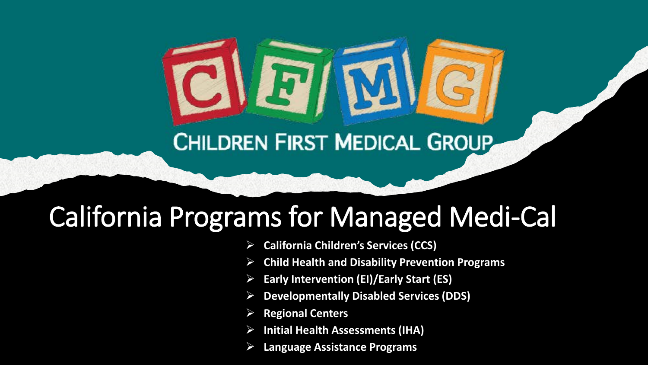### **CHILDREN FIRST MEDICAL GROUP**

## California Programs for Managed Medi-Cal

- **California Children's Services (CCS)**
- **Child Health and Disability Prevention Programs**
- **Early Intervention (EI)/Early Start (ES)**
- **Developmentally Disabled Services (DDS)**
- **Regional Centers**
- **Initial Health Assessments (IHA)**
- **Language Assistance Programs**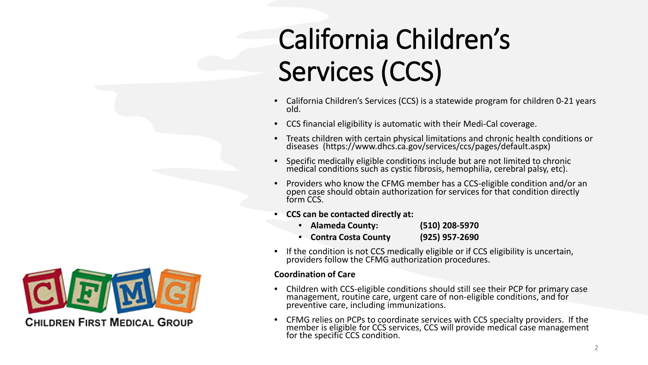# California Children's Services (CCS)

- California Children's Services (CCS) is a statewide program for children 0-21 years old.
- CCS financial eligibility is automatic with their Medi-Cal coverage.
- Treats children with certain physical limitations and chronic health conditions or diseases (https://www.dhcs.ca.gov/services/ccs/pages/default.aspx)
- Specific medically eligible conditions include but are not limited to chronic medical conditions such as cystic fibrosis, hemophilia, cerebral palsy, etc).
- Providers who know the CFMG member has a CCS-eligible condition and/or an open case should obtain authorization for services for that condition directly form CCS.
- **CCS can be contacted directly at:**
	- **Alameda County: (510) 208-5970** • **Contra Costa County (925) 957-2690**
- If the condition is not CCS medically eligible or if CCS eligibility is uncertain, providers follow the CFMG authorization procedures.

#### **Coordination of Care**

- Children with CCS-eligible conditions should still see their PCP for primary case management, routine care, urgent care of non-eligible conditions, and for preventive care, including immunizations.
- CFMG relies on PCPs to coordinate services with CCS specialty providers. If the member is eligible for CCS services, CCS will provide medical case management for the specific CCS condition.

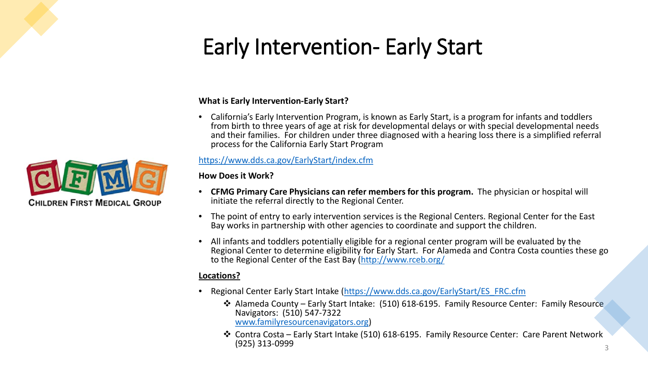### Early Intervention- Early Start

#### **What is Early Intervention-Early Start?**

• California's Early Intervention Program, is known as Early Start, is a program for infants and toddlers from birth to three years of age at risk for developmental delays or with special developmental needs and their families. For children under three diagnosed with a hearing loss there is a simplified referral process for the California Early Start Program

#### <https://www.dds.ca.gov/EarlyStart/index.cfm>

#### **How Does it Work?**

- **CFMG Primary Care Physicians can refer members for this program.** The physician or hospital will initiate the referral directly to the Regional Center.
- The point of entry to early intervention services is the Regional Centers. Regional Center for the East Bay works in partnership with other agencies to coordinate and support the children.
- All infants and toddlers potentially eligible for a regional center program will be evaluated by the Regional Center to determine eligibility for Early Start. For Alameda and Contra Costa counties these go to the Regional Center of the East Bay [\(http://www.rceb.org/](http://www.rceb.org/)

#### **Locations?**

- Regional Center Early Start Intake ([https://www.dds.ca.gov/EarlyStart/ES\\_FRC.cfm](https://www.dds.ca.gov/EarlyStart/ES_FRC.cfm)
	- Alameda County Early Start Intake: (510) 618-6195. Family Resource Center: Family Resource Navigators: (510) 547-7322 [www.familyresourcenavigators.org](http://www.familyresourcenavigators.org/))
	- Contra Costa Early Start Intake (510) 618-6195. Family Resource Center: Care Parent Network (925) 313-0999  $(925)$  313-0999  $\frac{3}{3}$

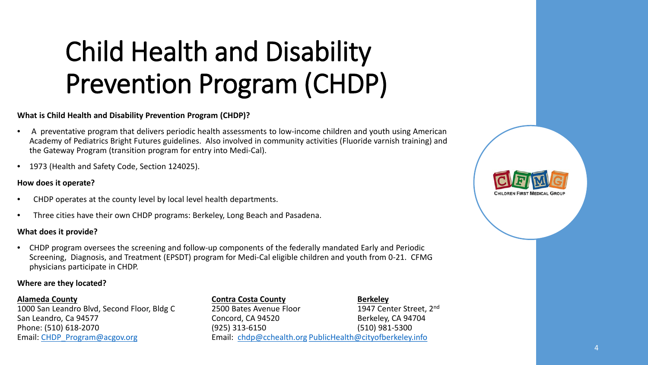# Child Health and Disability Prevention Program (CHDP)

#### **What is Child Health and Disability Prevention Program (CHDP)?**

- A preventative program that delivers periodic health assessments to low-income children and youth using American Academy of Pediatrics Bright Futures guidelines. Also involved in community activities (Fluoride varnish training) and the Gateway Program (transition program for entry into Medi-Cal).
- 1973 (Health and Safety Code, Section 124025).

#### **How does it operate?**

- CHDP operates at the county level by local level health departments.
- Three cities have their own CHDP programs: Berkeley, Long Beach and Pasadena.

#### **What does it provide?**

• CHDP program oversees the screening and follow-up components of the federally mandated Early and Periodic Screening, Diagnosis, and Treatment (EPSDT) program for Medi-Cal eligible children and youth from 0-21. CFMG physicians participate in CHDP.

#### **Where are they located?**

#### **Alameda County Contra Costa County Berkeley**

#### 1000 San Leandro Blvd, Second Floor, Bldg C 2500 Bates Avenue Floor 1947 Center Street, 2<sup>nd</sup> San Leandro, Ca 94577 **Concord, CA 94520 Berkeley, CA 94704 Concord, CA 94520** Phone: (510) 618-2070 (925) 313-6150 (925) 618-5300 Email: [CHDP\\_Program@acgov.org](mailto:CHDP_Program@acgov.org?subject=CHDP%20Program) email: [chdp@cchealth.org](mailto:chdp@cchealth.org) [PublicHealth@cityofberkeley.info](mailto:PublicHealth@cityofberkeley.info)

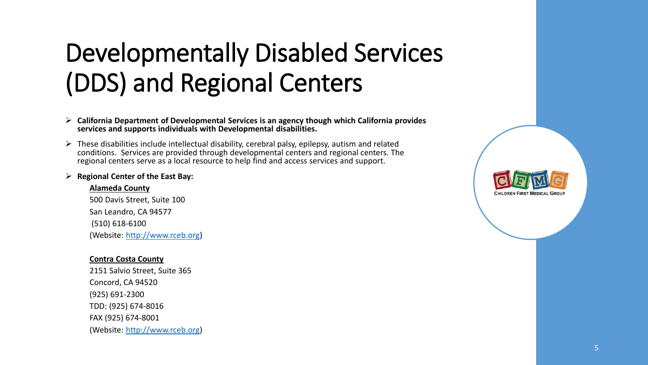### Developmentally Disabled Services (DDS) and Regional Centers

- **California Department of Developmental Services is an agency though which California provides services and supports individuals with Developmental disabilities.**
- $\triangleright$  These disabilities include intellectual disability, cerebral palsy, epilepsy, autism and related conditions. Services are provided through developmental centers and regional centers. The regional centers serve as a local resource to help find and access services and support.
- **Regional Center of the East Bay:**

#### **Alameda County**

500 Davis Street, Suite 100 San Leandro, CA 94577 (510) 618-6100 (Website: [http://www.rceb.org\)](http://www.rceb.org/)

#### **Contra Costa County**

2151 Salvio Street, Suite 365 Concord, CA 94520 (925) 691-2300 TDD: (925) 674-8016 FAX (925) 674-8001 (Website: [http://www.rceb.org\)](http://www.rceb.org/)

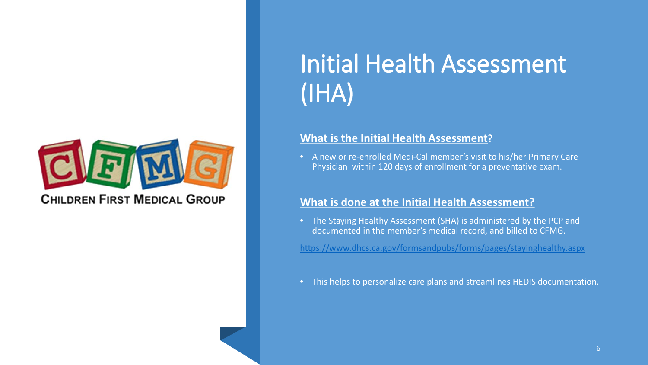

**CHILDREN FIRST MEDICAL GROUP** 

### Initial Health Assessment (IHA)

#### **What is the Initial Health Assessment?**

• A new or re-enrolled Medi-Cal member's visit to his/her Primary Care Physician within 120 days of enrollment for a preventative exam.

#### **What is done at the Initial Health Assessment?**

• The Staying Healthy Assessment (SHA) is administered by the PCP and documented in the member's medical record, and billed to CFMG.

<https://www.dhcs.ca.gov/formsandpubs/forms/pages/stayinghealthy.aspx>

• This helps to personalize care plans and streamlines HEDIS documentation.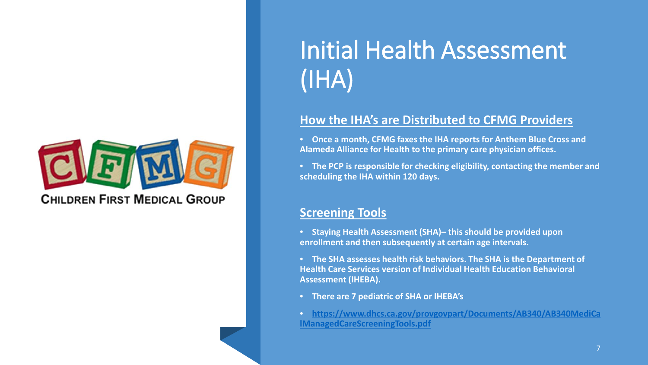

**CHILDREN FIRST MEDICAL GROUP** 

### Initial Health Assessment (IHA)

### **How the IHA's are Distributed to CFMG Providers**

• **Once a month, CFMG faxes the IHA reports for Anthem Blue Cross and Alameda Alliance for Health to the primary care physician offices.**

• **The PCP is responsible for checking eligibility, contacting the member and scheduling the IHA within 120 days.**

#### **Screening Tools**

• **Staying Health Assessment (SHA)– this should be provided upon enrollment and then subsequently at certain age intervals.** 

• **The SHA assesses health risk behaviors. The SHA is the Department of Health Care Services version of Individual Health Education Behavioral Assessment (IHEBA).**

- **There are 7 pediatric of SHA or IHEBA's**
- **[https://www.dhcs.ca.gov/provgovpart/Documents/AB340/AB340MediCa](https://www.dhcs.ca.gov/provgovpart/Documents/AB340/AB340MediCalManagedCareScreeningTools.pdf) lManagedCareScreeningTools.pdf**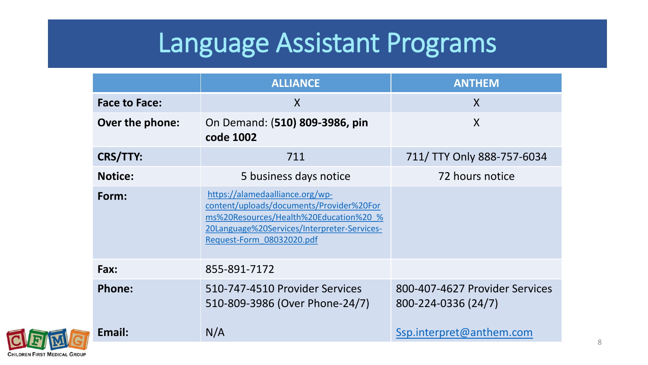### Language Assistant Programs

|                      | <b>ALLIANCE</b>                                                                                                                                                                                   | <b>ANTHEM</b>                                         |
|----------------------|---------------------------------------------------------------------------------------------------------------------------------------------------------------------------------------------------|-------------------------------------------------------|
| <b>Face to Face:</b> | $\sf X$                                                                                                                                                                                           | $\mathsf{X}$                                          |
| Over the phone:      | On Demand: (510) 809-3986, pin<br>code 1002                                                                                                                                                       | $\mathsf{X}$                                          |
| <b>CRS/TTY:</b>      | 711                                                                                                                                                                                               | 711/ TTY Only 888-757-6034                            |
| <b>Notice:</b>       | 5 business days notice                                                                                                                                                                            | 72 hours notice                                       |
| Form:                | https://alamedaalliance.org/wp-<br>content/uploads/documents/Provider%20For<br>ms%20Resources/Health%20Education%20 %<br>20Language%20Services/Interpreter-Services-<br>Request-Form 08032020.pdf |                                                       |
| Fax:                 | 855-891-7172                                                                                                                                                                                      |                                                       |
| <b>Phone:</b>        | 510-747-4510 Provider Services<br>510-809-3986 (Over Phone-24/7)                                                                                                                                  | 800-407-4627 Provider Services<br>800-224-0336 (24/7) |
| Email:               | N/A                                                                                                                                                                                               | Ssp.interpret@anthem.com                              |

**CHILDREN FIRST MEDICAL GROUP**